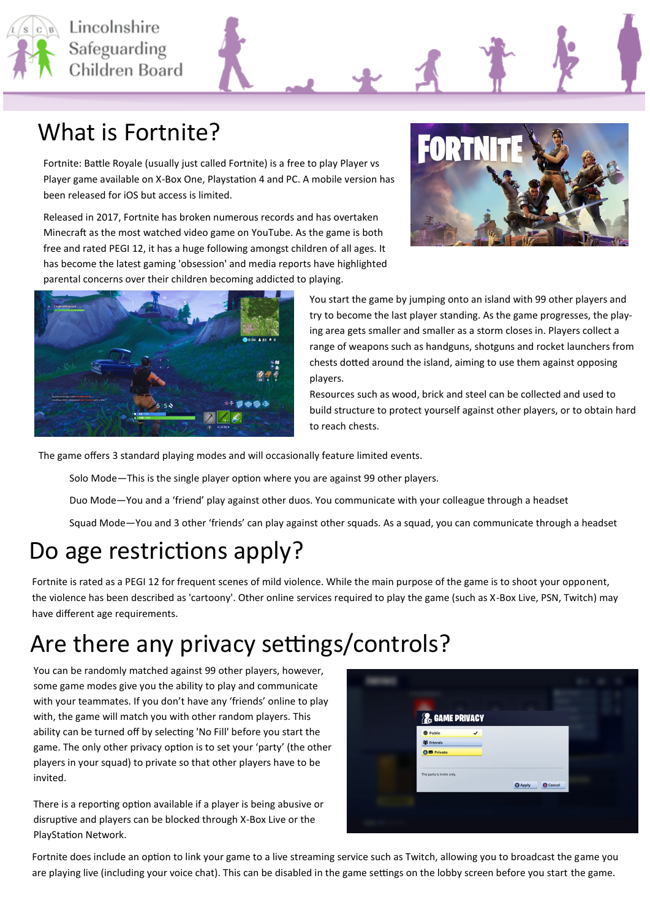

 $\left[\begin{matrix}C\end{matrix}\right]$  Lincolnshire Safeguarding Children Board



#### What is Fortnite?

Fortnite: Battle Royale (usually just called Fortnite) is a free to play Player vs Player game available on X-Box One, Playstation 4 and PC. A mobile version has been released for iOS but access is limited.

Released in 2017, Fortnite has broken numerous records and has overtaken Minecraft as the most watched video game on YouTube. As the game is both free and rated PEGI 12, it has a huge following amongst children of all ages. It has become the latest gaming 'obsession' and media reports have highlighted parental concerns over their children becoming addicted to playing.





You start the game by jumping onto an island with 99 other players and try to become the last player standing. As the game progresses, the playing area gets smaller and smaller as a storm closes in. Players collect a range of weapons such as handguns, shotguns and rocket launchers from chests dotted around the island, aiming to use them against opposing players.

Resources such as wood, brick and steel can be collected and used to build structure to protect yourself against other players, or to obtain hard to reach chests.

The game offers 3 standard playing modes and will occasionally feature limited events.

Solo Mode—This is the single player option where you are against 99 other players.

Duo Mode—You and a 'friend' play against other duos. You communicate with your colleague through a headset

Squad Mode—You and 3 other 'friends' can play against other squads. As a squad, you can communicate through a headset

# Do age restrictions apply?

Fortnite is rated as a PEGI 12 for frequent scenes of mild violence. While the main purpose of the game is to shoot your opponent, the violence has been described as 'cartoony'. Other online services required to play the game (such as X-Box Live, PSN, Twitch) may have different age requirements.

# Are there any privacy settings/controls?

You can be randomly matched against 99 other players, however, some game modes give you the ability to play and communicate with your teammates. If you don't have any 'friends' online to play with, the game will match you with other random players. This ability can be turned off by selecting 'No Fill' before you start the game. The only other privacy option is to set your 'party' (the other players in your squad) to private so that other players have to be invited.

There is a reporting option available if a player is being abusive or disruptive and players can be blocked through X-Box Live or the PlayStation Network.



Fortnite does include an option to link your game to a live streaming service such as Twitch, allowing you to broadcast the game you are playing live (including your voice chat). This can be disabled in the game settings on the lobby screen before you start the game.